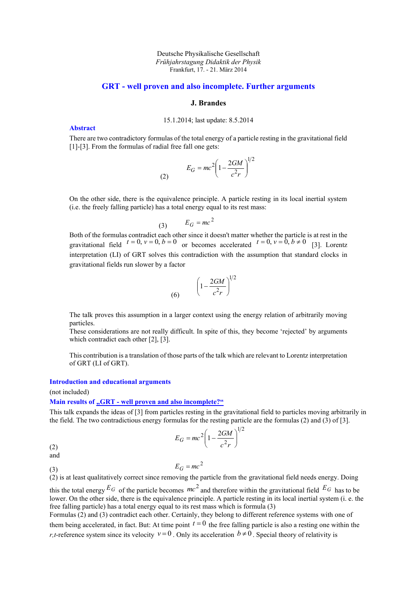#### Deutsche Physikalische Gesellschaft *Frühjahrstagung Didaktik der Physik* Frankfurt, 17. - 21. März 2014

## **GRT - well proven and also incomplete. Further arguments**

### **J. Brandes**

### 15.1.2014; last update: 8.5.2014

**Abstract**

There are two contradictory formulas of the total energy of a particle resting in the gravitational field [1]-[3]. From the formulas of radial free fall one gets:

(2) 
$$
E_G = mc^2 \left(1 - \frac{2GM}{c^2r}\right)^{1/2}
$$

On the other side, there is the equivalence principle. A particle resting in its local inertial system (i.e. the freely falling particle) has a total energy equal to its rest mass:

$$
(3) \qquad E_G = mc^2
$$

Both of the formulas contradict each other since it doesn't matter whether the particle is at rest in the gravitational field  $t = 0$ ,  $v = 0$ ,  $b = 0$  or becomes accelerated  $t = 0$ ,  $v = 0$ ,  $b \ne 0$  [3]. Lorentz interpretation (LI) of GRT solves this contradiction with the assumption that standard clocks in gravitational fields run slower by a factor

$$
(6) \qquad \left(1 - \frac{2GM}{c^2r}\right)^{1/2}
$$

The talk proves this assumption in a larger context using the energy relation of arbitrarily moving particles.

These considerations are not really difficult. In spite of this, they become 'rejected' by arguments which contradict each other [2], [3].

This contribution is a translation of those parts of the talk which are relevant to Lorentz interpretation of GRT (LI of GRT).

### **Introduction and educational arguments**

(not included)

#### **Main results of "GRT - [well proven and also incomplete?"](Talk-Brandes-2013.htm)**

This talk expands the ideas of [3] from particles resting in the gravitational field to particles moving arbitrarily in the field. The two contradictious energy formulas for the resting particle are the formulas (2) and (3) of [3].

$$
E_G = mc^2 \left(1 - \frac{2GM}{c^2r}\right)^{1/2}
$$

(2) and

(3)

$$
E_G = mc^2
$$

(2) is at least qualitatively correct since removing the particle from the gravitational field needs energy. Doing this the total energy  $E_G$  of the particle becomes  $mc^2$  and therefore within the gravitational field  $E_G$  has to be lower. On the other side, there is the equivalence principle. A particle resting in its local inertial system (i. e. the free falling particle) has a total energy equal to its rest mass which is formula (3)

Formulas (2) and (3) contradict each other. Certainly, they belong to different reference systems with one of them being accelerated, in fact. But: At time point  $t = 0$  the free falling particle is also a resting one within the *r*,*t*-reference system since its velocity  $v=0$ . Only its acceleration  $b \neq 0$ . Special theory of relativity is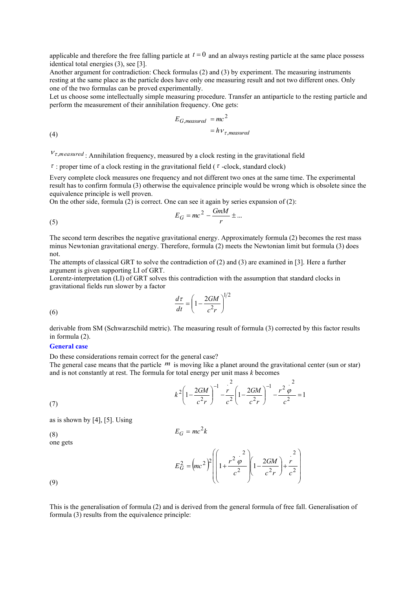applicable and therefore the free falling particle at  $t = 0$  and an always resting particle at the same place possess identical total energies (3), see [3].

Another argument for contradiction: Check formulas (2) and (3) by experiment. The measuring instruments resting at the same place as the particle does have only one measuring result and not two different ones. Only one of the two formulas can be proved experimentally.

Let us choose some intellectually simple measuring procedure. Transfer an antiparticle to the resting particle and perform the measurement of their annihilation frequency. One gets:

$$
E_{G,measured} = mc^2
$$
  
=  $h v_{\tau,measured}$ 

(4)

(5)

(6)

 $V_{\tau,measured}$ : Annihilation frequency, measured by a clock resting in the gravitational field

 $\tau$ : proper time of a clock resting in the gravitational field ( $\tau$ -clock, standard clock)

Every complete clock measures one frequency and not different two ones at the same time. The experimental result has to confirm formula (3) otherwise the equivalence principle would be wrong which is obsolete since the equivalence principle is well proven.

On the other side, formula (2) is correct. One can see it again by series expansion of (2):

$$
E_G = mc^2 - \frac{GmM}{r} \pm \dots
$$

The second term describes the negative gravitational energy. Approximately formula (2) becomes the rest mass minus Newtonian gravitational energy. Therefore, formula (2) meets the Newtonian limit but formula (3) does not.

The attempts of classical GRT to solve the contradiction of (2) and (3) are examined in [3]. Here a further argument is given supporting LI of GRT.

Lorentz-interpretation (LI) of GRT solves this contradiction with the assumption that standard clocks in gravitational fields run slower by a factor

$$
\frac{d\tau}{dt} = \left(1 - \frac{2GM}{c^2r}\right)^{1/2}
$$

derivable from SM (Schwarzschild metric). The measuring result of formula (3) corrected by this factor results in formula (2).

#### **General case**

Do these considerations remain correct for the general case?

The general case means that the particle  $\overline{m}$  is moving like a planet around the gravitational center (sun or star) and is not constantly at rest. The formula for total energy per unit mass *k* becomes

(7) 
$$
k^{2}\left(1-\frac{2GM}{c^{2}r}\right)^{-1}-\frac{r^{2}}{c^{2}}\left(1-\frac{2GM}{c^{2}r}\right)^{-1}-\frac{r^{2}\frac{c^{2}}{\varphi}}{c^{2}}=1
$$

as is shown by [4], [5]. Using

$$
E_G = mc^2k
$$

(8) one gets

$$
E_G^2 = (mc^2)^2 \left( \left( 1 + \frac{r^2 \frac{c^2}{\varphi}}{c^2} \right) \left( 1 - \frac{2GM}{c^2 r} \right) + \frac{r^2}{c^2} \right)
$$

(9)

This is the generalisation of formula (2) and is derived from the general formula of free fall. Generalisation of formula (3) results from the equivalence principle: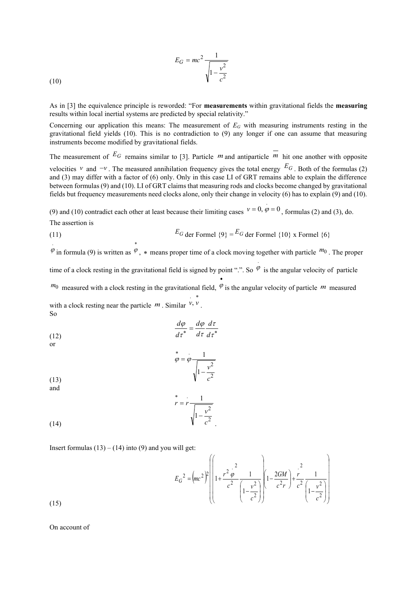(10) 
$$
E_G = mc^2 \frac{1}{\sqrt{1 - \frac{v^2}{c^2}}}
$$

As in [3] the equivalence principle is reworded: "For **measurements** within gravitational fields the **measuring** results within local inertial systems are predicted by special relativity."

Concerning our application this means: The measurement of *E<sup>G</sup>* with measuring instruments resting in the gravitational field yields (10). This is no contradiction to (9) any longer if one can assume that measuring instruments become modified by gravitational fields.

The measurement of  $E_G$  remains similar to [3]. Particle m and antiparticle  $\overline{m}$  hit one another with opposite velocities  $v$  and  $-v$ . The measured annihilation frequency gives the total energy  $E_G$ . Both of the formulas (2) and (3) may differ with a factor of (6) only. Only in this case LI of GRT remains able to explain the difference between formulas (9) and (10). LI of GRT claims that measuring rods and clocks become changed by gravitational fields but frequency measurements need clocks alone, only their change in velocity (6) has to explain (9) and (10).

(9) and (10) contradict each other at least because their limiting cases  $v = 0$ ,  $\varphi = 0$  $v = 0, \, \dot{\varphi} = 0$ , formulas (2) and (3), do. The assertion is

(11) 
$$
E_G \text{ der Formel } \{9\} = E_G \text{ der Formel } \{10\} \times \text{Formel } \{6\}
$$

 $\varphi$  in formula (9) is written as  $\varphi$ , \* means proper time of a clock moving together with particle  $m_0$ . The proper

.

time of a clock resting in the gravitational field is signed by point ".". So  $\varphi$  is the angular velocity of particle •

 $m_0$  measured with a clock resting in the gravitational field,  $\varphi$  is the angular velocity of particle m measured with a clock resting near the particle  $m$ . Similar  $v, v$ . × .

So  $\frac{d\varphi}{dt} = \frac{d\varphi}{dt} \frac{d\tau}{dt}$ 

$$
\frac{d\tau}{d\tau} = \frac{d\tau}{d\tau} \frac{d\tau}{d\tau}
$$

\*

$$
\stackrel{*}{\varphi} = \varphi \frac{1}{\sqrt{1 - \frac{v^2}{c^2}}}
$$

(13) and

$$
r = r \frac{1}{\sqrt{1 - \frac{v^2}{c^2}}}
$$

.

Insert formulas  $(13) - (14)$  into (9) and you will get:

$$
E_G^2 = (mc^2)^2 \left( 1 + \frac{r^2 \varphi^2}{c^2} \frac{1}{\left( 1 - \frac{v^2}{c^2} \right)} \left( 1 - \frac{2GM}{c^2 r} \right) + \frac{r^2}{c^2} \frac{1}{\left( 1 - \frac{v^2}{c^2} \right)} \right)
$$

(15)

(14)

.

On account of